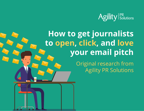

# **How to get journalists to open, click, and love your email pitch**

Original research from Agility PR Solutions

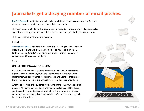## **Journalists get a dizzying number of email pitches.**

[One 2017 report](http://content.agilitypr.com/media-blueprint) found that nearly half of all journalists worldwide receive more than 25 email pitches *a day*, while producing fewer than 25 pieces *a month*.

The math just doesn't add up. The odds of getting your pitch noticed and picked up are stacked against you. Getting your message out to the masses isn't an uphill battle, it's an uphill war.

This guide is going to help you win that war.

Here's how.

[Our media database](https://www.agilitypr.com/our-solutions/media-database/) includes a distribution tool, meaning after you find your ideal influencers and add them to your media list, you can fire off emails to them from right inside the platform. One offshoot of this is that a lot of emails get sent through our platform.

A lot.

Like an average of 103,613 every weekday.

So, we did what any self-respecting database provider would do: we took a good look at the numbers, found the distributions that had performed exceptionally, and approached those companies and agencies that earned the highest open rates and clickthrough rates to find out how they did it.

What you have here is the evidence you need to change the way you do email pitching. When all is said and done, and you flip the last page of this guide, you'll have the knowledge it takes to stand out in the crowd and get your emails opened and engaged with by journalists. What we're saying is, you'll basically be invincible.

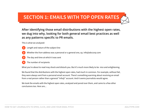## **SECTION 1: EMAILS WITH TOP OPEN RATES**

**After identifying those email distributions with the highest open rates, we dug into why, looking for both general email best practices as well as any patterns specific to PR emails.**

This is what we analyzed:

**1**

**4**

- Length and nature of the subject line
- Whether the *from* address was a personal or a general one, *eg.* info@abccorp.com **2**
- The day and time at which it was sent **3**
	- The number of recipients

What you're about to read may shock and disturb you. But it's much more likely to be nice and enlightening.

We found that the distributions with the highest open rates, had much in common. For example, without fail, they were always sent from a personal email account. There's something warming about receiving an email from a real person rather than a general "info@" account. And it seems journalists would agree.

We took the emails with the highest open rates, analyzed and pored over them, and came to a few other conclusions too. Here are...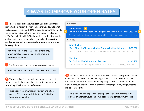## **4 WAYS TO IMPROVE YOUR OPEN RATES**

**1** There is a subject line sweet spot. Subject lines ranged from 136 characters at the high end all the way down to 29 at the low. And get this: nearly 60% of the distributions that made this list contained something along the lines of "Follow-up" or "Re:" or "Additional info" in the subject line, leading us wily analysts to theorize that maybe, just maybe, **the secret to earning astronomical open rates is to send a second email for every pitch.**

Aim for a subject line of 60-75 characters, and, when it makes sense, include a reference to a previous distribution.

The *from* address was personal. Always personal. **2**

Don't you dare send it from a general email account!

 The days of delivery varied — as would be expected but one in particular shone above the rest: Monday. As for time of day, it's all about mid-afternoon. **3**

If good open rates are what you're after (and let's face it, who isn't?), send your distribution at 3:53 in the afternoon on a Monday.

### **▼ Monday**

**Jayne Brooks 2**

**Follow-up: "Massive tech unveilings at 3rd Annual XOP-Fest" 3:53 PM** 480 booths from 105 countries, and we still couldn't have expected this kind ...

**▼ Friday**

### **Emily Richett**

**"Beer City, USA" Releases Dining Options for Month-Long ... 6:55 PM** Nearly 50 "Cool Brews. Hot Eats." Menus Revealed. Featured items include ...

### **Matt Glass Re: Clark Carlisle's Return to Liverpool**

**11:15 AM**

**3**

Carlisle returned to Liverpool today for the first time since having the intenti...

We found there was no clear answer when it comes to the optimal number of recipients, but we did notice that larger media lists had lower open rates but greater potential for total number of pickups. The distributions with the highest rates, on the other hand, were those that targeted very few journalists. Makes sense, right? **4**

This is personal and depends on the type of news you're pitching. If it's niche, a smaller list would be best. Huge breaking general news? Go big.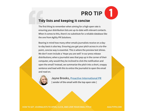### **Tidy lists and keeping it concise**

**PRO TIP**<br> **Tidy lists and keeping it concise**<br>
The first thing to remember when aiming for a high open rate is<br>
ensuring your distribution lists are up-to-date with relevant conta<br>
When it comes to this, there's no substi The first thing to remember when aiming for a high open rate is ensuring your distribution lists are up-to-date with relevant contacts. When it comes to this, there's no substitute for a reliable database like the one from Agility PR Solutions.

Bearing in mind how many other emails journalists receive on a dayto-day basis is also key. Ensuring you get your pitch across in a to-thepoint, concise way is essential. This is where the preview text shines. We don't even include a 'Hope you are well' in our press release distributions; when a journalist sees that pop up in the corner of their computer, why would they be inclined to click the notification and open the email? Instead, we summarize the pitch into a short, snappy sentence and lead with this to entice the journalist to open the email and read on.



**Jayne Brooks, [Proactive International PR](http://proactive-pr.com/)**

**[ sender of the email with the top open rate ]**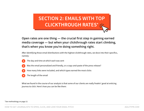## **SECTION 2: EMAILS WITH TOP CLICKTHROUGH RATES\***

### **Open rates are one thing — the crucial first step in gaining earned media coverage — but when your clickthrough rates start climbing, that's when you know you're doing something right.**

After identifying those email distributions with the highest clickthrough rates, we dove into their specifics, namely:

- **1**
- The day and time at which each was sent
- Was the email personalized and friendly, or a copy-and-paste of the press release? **2**
- How many links were included, and which types earned the most clicks **3**
- The length of the email **4**

What we found in the course of our analysis is that some of our clients are really freakin' good at enticing journos to click. Here's how you can be like them:

### \*See methodology on page 13.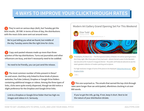## **4 WAYS TO IMPROVE YOUR CLICKTHROUGH RATES**

**1** They're sent on various days (duh), but Tuesday got the best results...BY FAR. In terms of time of day, the distributions with the most clicks were sent out around noon.

We're just telling you what we found, but middle of the day Tuesday seems like the right time for clicks.

 Copy-and-pasted releases made up more than threequarters of the top distributions. Turns out journalists and other influencers are busy, and don't necessarily need to be coddled. **2**

No need to be friendly, you can just send the release.

 The most common number of links present in these? Six and seven. And they only linked to three kinds of places: websites; YouTube (videos); Dropbox or Google Drive folders containing additional images or videos. Among the three types of links, clicks were quite evenly dispersed, though we did notice a slight preference for the Dropbox and Google Drive links. **3**

Link to a Dropbox or Google Drive folder that has high-res images and videos in it. Seriously.

### Modern Art Gallery Grand Opening Set For This Weekend





Philadelphia, PA (March 21) — The Pennsylvania Gallery of Modern Art will be opening its doors this Friday night. After three years of very hard work - wherein famed curator Emilio Bandalni was secured as the museum's inaugural director - the public will finally be welcome to see the state's greatest collection of modern painting and sculpture.

For high-resolution images of some of the pieces to be displayed, [follow this link to our](http://www.agilitypr.com)  [Dropbox folder.](http://www.agilitypr.com)

**<sup>4</sup>** ...

**2**

This one surprised us. The emails that earned the top click-through rates were longer than we anticipated, oftentimes clocking in at over 800 words. **4**

If you've got the info, go big. If not, keep it short. Best to let the nature of your distribution dictate.

**3**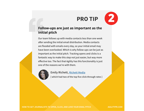### **Follow-ups are just as important as the initial pitch**

**PRO TIP**<br> **Follow-ups are just as important as t**<br> **initial pitch**<br>
Our team follows up with media contacts less than one w<br>
after sending the initial email distribution. Media contact<br>
are flooded with emails every day, Our team follows up with media contacts less than one week after sending the initial email distribution. Media contacts are flooded with emails every day, so your initial email may have been overlooked. Which is why follow-ups can be just as important as the initial pitch. Tracking opens and clicks is a fantastic way to make this step not just easier, but way more effective too. The fact that Agility has this functionality is just one of the reasons we're with them.



### **Emily Richett, [Richett Media](https://www.richettmedia.com/)**

**[ which had two of the top five click-through rates ]**

**2**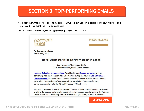## **SECTION 3: TOP-PERFORMING EMAILS**

We've been over what you need to do to get opens, and we've examined how to secure clicks, now it's time to take a look at a particular distribution that achieved both.

Behold that rarest of animals, the email pitch that gets opened AND clicked.



 **[SEE FULL EMAIL](https://content.agilitypr.com/hubfs/RoyalBallet-email.pdf)**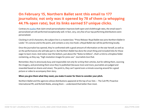### **On February 15, Northern Ballet sent this email to 177 journalists; not only was it opened by 78 of them (a whopping 44.1% open rate), but its links earned 57 unique clicks.**

Contrary to [studies](https://www.campaignmonitor.com/blog/email-marketing/2017/08/15-email-personalization-stats-might-surprise-you/) that claim email personalization improves both open and clickthrough rates, the email wasn't personalized yet still performed exceptionally well. In fact, very, very few of our top performing distributions were personalized.

Clocking in at 63 characters, the subject line is a masterclass: "Press Release: Royal Ballet star joins Northern Ballet in Leeds." It's concise and to the point, and contains a very nice hook: a Royal Ballet star will be performing locally.

Once the journalist has opened, they're confronted with a good amount of information on the star herself, as well as on the performances she will take part in. But Northern Ballet has done the smart thing and included links for those eager to learn more. And notice near the bottom, just above the "Notes to Editors"...that's a link to a Dropbox folder containing, as they say, "high resolution images for press use." Journalists love that.

Remember, they're atrociously busy and responsible not only for *writing* their articles, but for editing them, sourcing the imagery, and promoting them once they're published (because more and more, journalists are judged and rewarded based on shares and views). The point is, they can't spend even a minute scouring around for a good picture or video to accompany their story.

### **When you give them what they need, you make it easier for them to consider your pitch.**

Northern Ballet and the agencies whose distributions appeared at the top of our lists — The Cult PR, Proactive International PR, and Richett Media, among them — understand that better than most.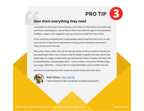**3**

### **Give them everything they need**

**PRO TIP**<br> **Give them everything they need**<br>
Journalists are time-poor and sometimes, even if they're interested in your pitch<br>
won't hear anything back. Just as likely is that a story falls through 10 minutes be<br>
deadline Journalists are time-poor and sometimes, even if they're interested in your pitch, you won't hear anything back. Just as likely is that a story falls through 10 minutes before deadline, a space in the magazine crops up, and yours could be in line to fill it.

If your email has everything they could possibly need to bash the story out in a rush, you're in luck. If they have to spend time chasing you for what they need, there's every chance you'll miss out.

Who, what, where, when, why are the obvious pieces of info you need to include, but you need to give them more. Is there a link for tickets? A quote from your client? How about high-res images in both landscape and portrait? Send a Dropbox link that's full of everything they could possibly need — a press release, every press-friendly image you've got, video files — chuck it all in to separated folders and send them the link.

Give them everything they need, except an excuse to pass over your story.



### **Matt Glass, [The Cult PR](http://thecultpr.co.uk/)**

**[ which had two of the overall top 10 performing emails ]**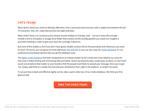### **Let's recap:**

Want opens? Send your email on Monday afternoon, from a personal email account, with a subject line between 60 and 75 characters. And, oh!, make that preview text tight and tasty.

Want clicks? Send a no-nonsense press release around midday on Tuesday. And — we can't stress this enough include a link to a Dropbox or Google Drive folder that contains all the worldly goodies you could ever imagine a journalist needing in order to give your story the coverage it deserves.

But none of this matters a lick if you don't have good, reliable contact info for the journalists and influencers you want to reach. Of course, you can guess at email addresses, [like Drift did,](https://www.drift.com/seeking-wisdom/) or you can use a top-tier [media database](https://www.agilitypr.com/media-database-ultimate-guide/). It's our professional and biased opinion that you go the database route.

The [Agility media database](https://www.agilitypr.com/our-solutions/media-database/) has been recognized as an industry leader by G2 Crowd and is top-rated by our users for how easy it makes finding and connecting with journalists. Search by keyword, beat, media type, location, or even track social conversations that matter to your brand to find the people most likely to spread your message. Once you've got 'em, simply add them to a media list and send your distribution from right in the platform. It couldn't be easier.

To see just how simple and effective Agility can be, take a quick video tour of our media database. We think you'll be glad you did.

### **[TAKE THE VIDEO TOUR!](https://go.agilitypr.com/agility-tour/)**